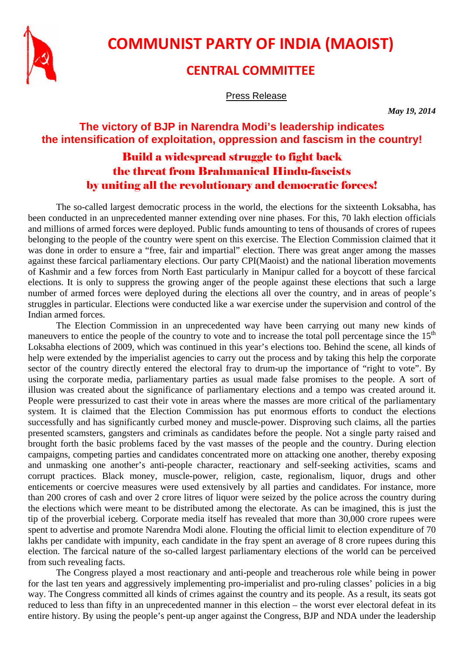

## **COMMUNIST PARTY OF INDIA (MAOIST)**

## **CENTRAL COMMITTEE**

Press Release

*May 19, 2014* 

## **The victory of BJP in Narendra Modi's leadership indicates the intensification of exploitation, oppression and fascism in the country!**

## Build a widespread struggle to fight back the threat from Brahmanical Hindu-fascists by uniting all the revolutionary and democratic forces!

The so-called largest democratic process in the world, the elections for the sixteenth Loksabha, has been conducted in an unprecedented manner extending over nine phases. For this, 70 lakh election officials and millions of armed forces were deployed. Public funds amounting to tens of thousands of crores of rupees belonging to the people of the country were spent on this exercise. The Election Commission claimed that it was done in order to ensure a "free, fair and impartial" election. There was great anger among the masses against these farcical parliamentary elections. Our party CPI(Maoist) and the national liberation movements of Kashmir and a few forces from North East particularly in Manipur called for a boycott of these farcical elections. It is only to suppress the growing anger of the people against these elections that such a large number of armed forces were deployed during the elections all over the country, and in areas of people's struggles in particular. Elections were conducted like a war exercise under the supervision and control of the Indian armed forces.

The Election Commission in an unprecedented way have been carrying out many new kinds of maneuvers to entice the people of the country to vote and to increase the total poll percentage since the  $15<sup>th</sup>$ Loksabha elections of 2009, which was continued in this year's elections too. Behind the scene, all kinds of help were extended by the imperialist agencies to carry out the process and by taking this help the corporate sector of the country directly entered the electoral fray to drum-up the importance of "right to vote". By using the corporate media, parliamentary parties as usual made false promises to the people. A sort of illusion was created about the significance of parliamentary elections and a tempo was created around it. People were pressurized to cast their vote in areas where the masses are more critical of the parliamentary system. It is claimed that the Election Commission has put enormous efforts to conduct the elections successfully and has significantly curbed money and muscle-power. Disproving such claims, all the parties presented scamsters, gangsters and criminals as candidates before the people. Not a single party raised and brought forth the basic problems faced by the vast masses of the people and the country. During election campaigns, competing parties and candidates concentrated more on attacking one another, thereby exposing and unmasking one another's anti-people character, reactionary and self-seeking activities, scams and corrupt practices. Black money, muscle-power, religion, caste, regionalism, liquor, drugs and other enticements or coercive measures were used extensively by all parties and candidates. For instance, more than 200 crores of cash and over 2 crore litres of liquor were seized by the police across the country during the elections which were meant to be distributed among the electorate. As can be imagined, this is just the tip of the proverbial iceberg. Corporate media itself has revealed that more than 30,000 crore rupees were spent to advertise and promote Narendra Modi alone. Flouting the official limit to election expenditure of 70 lakhs per candidate with impunity, each candidate in the fray spent an average of 8 crore rupees during this election. The farcical nature of the so-called largest parliamentary elections of the world can be perceived from such revealing facts.

The Congress played a most reactionary and anti-people and treacherous role while being in power for the last ten years and aggressively implementing pro-imperialist and pro-ruling classes' policies in a big way. The Congress committed all kinds of crimes against the country and its people. As a result, its seats got reduced to less than fifty in an unprecedented manner in this election – the worst ever electoral defeat in its entire history. By using the people's pent-up anger against the Congress, BJP and NDA under the leadership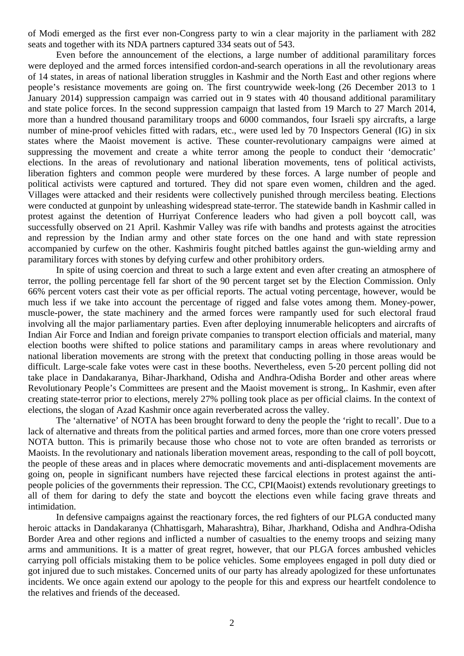of Modi emerged as the first ever non-Congress party to win a clear majority in the parliament with 282 seats and together with its NDA partners captured 334 seats out of 543.

Even before the announcement of the elections, a large number of additional paramilitary forces were deployed and the armed forces intensified cordon-and-search operations in all the revolutionary areas of 14 states, in areas of national liberation struggles in Kashmir and the North East and other regions where people's resistance movements are going on. The first countrywide week-long (26 December 2013 to 1 January 2014) suppression campaign was carried out in 9 states with 40 thousand additional paramilitary and state police forces. In the second suppression campaign that lasted from 19 March to 27 March 2014, more than a hundred thousand paramilitary troops and 6000 commandos, four Israeli spy aircrafts, a large number of mine-proof vehicles fitted with radars, etc., were used led by 70 Inspectors General (IG) in six states where the Maoist movement is active. These counter-revolutionary campaigns were aimed at suppressing the movement and create a white terror among the people to conduct their 'democratic' elections. In the areas of revolutionary and national liberation movements, tens of political activists, liberation fighters and common people were murdered by these forces. A large number of people and political activists were captured and tortured. They did not spare even women, children and the aged. Villages were attacked and their residents were collectively punished through merciless beating. Elections were conducted at gunpoint by unleashing widespread state-terror. The statewide bandh in Kashmir called in protest against the detention of Hurriyat Conference leaders who had given a poll boycott call, was successfully observed on 21 April. Kashmir Valley was rife with bandhs and protests against the atrocities and repression by the Indian army and other state forces on the one hand and with state repression accompanied by curfew on the other. Kashmiris fought pitched battles against the gun-wielding army and paramilitary forces with stones by defying curfew and other prohibitory orders.

In spite of using coercion and threat to such a large extent and even after creating an atmosphere of terror, the polling percentage fell far short of the 90 percent target set by the Election Commission. Only 66% percent voters cast their vote as per official reports. The actual voting percentage, however, would be much less if we take into account the percentage of rigged and false votes among them. Money-power, muscle-power, the state machinery and the armed forces were rampantly used for such electoral fraud involving all the major parliamentary parties. Even after deploying innumerable helicopters and aircrafts of Indian Air Force and Indian and foreign private companies to transport election officials and material, many election booths were shifted to police stations and paramilitary camps in areas where revolutionary and national liberation movements are strong with the pretext that conducting polling in those areas would be difficult. Large-scale fake votes were cast in these booths. Nevertheless, even 5-20 percent polling did not take place in Dandakaranya, Bihar-Jharkhand, Odisha and Andhra-Odisha Border and other areas where Revolutionary People's Committees are present and the Maoist movement is strong,. In Kashmir, even after creating state-terror prior to elections, merely 27% polling took place as per official claims. In the context of elections, the slogan of Azad Kashmir once again reverberated across the valley.

The 'alternative' of NOTA has been brought forward to deny the people the 'right to recall'. Due to a lack of alternative and threats from the political parties and armed forces, more than one crore voters pressed NOTA button. This is primarily because those who chose not to vote are often branded as terrorists or Maoists. In the revolutionary and nationals liberation movement areas, responding to the call of poll boycott, the people of these areas and in places where democratic movements and anti-displacement movements are going on, people in significant numbers have rejected these farcical elections in protest against the antipeople policies of the governments their repression. The CC, CPI(Maoist) extends revolutionary greetings to all of them for daring to defy the state and boycott the elections even while facing grave threats and intimidation.

In defensive campaigns against the reactionary forces, the red fighters of our PLGA conducted many heroic attacks in Dandakaranya (Chhattisgarh, Maharashtra), Bihar, Jharkhand, Odisha and Andhra-Odisha Border Area and other regions and inflicted a number of casualties to the enemy troops and seizing many arms and ammunitions. It is a matter of great regret, however, that our PLGA forces ambushed vehicles carrying poll officials mistaking them to be police vehicles. Some employees engaged in poll duty died or got injured due to such mistakes. Concerned units of our party has already apologized for these unfortunates incidents. We once again extend our apology to the people for this and express our heartfelt condolence to the relatives and friends of the deceased.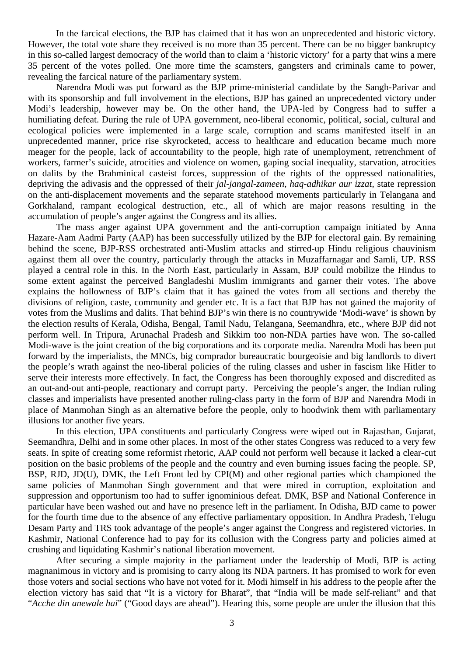In the farcical elections, the BJP has claimed that it has won an unprecedented and historic victory. However, the total vote share they received is no more than 35 percent. There can be no bigger bankruptcy in this so-called largest democracy of the world than to claim a 'historic victory' for a party that wins a mere 35 percent of the votes polled. One more time the scamsters, gangsters and criminals came to power, revealing the farcical nature of the parliamentary system.

Narendra Modi was put forward as the BJP prime-ministerial candidate by the Sangh-Parivar and with its sponsorship and full involvement in the elections, BJP has gained an unprecedented victory under Modi's leadership, however may be. On the other hand, the UPA-led by Congress had to suffer a humiliating defeat. During the rule of UPA government, neo-liberal economic, political, social, cultural and ecological policies were implemented in a large scale, corruption and scams manifested itself in an unprecedented manner, price rise skyrocketed, access to healthcare and education became much more meager for the people, lack of accountability to the people, high rate of unemployment, retrenchment of workers, farmer's suicide, atrocities and violence on women, gaping social inequality, starvation, atrocities on dalits by the Brahminical casteist forces, suppression of the rights of the oppressed nationalities, depriving the adivasis and the oppressed of their *jal-jangal-zameen, haq-adhikar aur izzat*, state repression on the anti-displacement movements and the separate statehood movements particularly in Telangana and Gorkhaland, rampant ecological destruction, etc., all of which are major reasons resulting in the accumulation of people's anger against the Congress and its allies.

The mass anger against UPA government and the anti-corruption campaign initiated by Anna Hazare-Aam Aadmi Party (AAP) has been successfully utilized by the BJP for electoral gain. By remaining behind the scene, BJP-RSS orchestrated anti-Muslim attacks and stirred-up Hindu religious chauvinism against them all over the country, particularly through the attacks in Muzaffarnagar and Samli, UP. RSS played a central role in this. In the North East, particularly in Assam, BJP could mobilize the Hindus to some extent against the perceived Bangladeshi Muslim immigrants and garner their votes. The above explains the hollowness of BJP's claim that it has gained the votes from all sections and thereby the divisions of religion, caste, community and gender etc. It is a fact that BJP has not gained the majority of votes from the Muslims and dalits. That behind BJP's win there is no countrywide 'Modi-wave' is shown by the election results of Kerala, Odisha, Bengal, Tamil Nadu, Telangana, Seemandhra, etc., where BJP did not perform well. In Tripura, Arunachal Pradesh and Sikkim too non-NDA parties have won. The so-called Modi-wave is the joint creation of the big corporations and its corporate media. Narendra Modi has been put forward by the imperialists, the MNCs, big comprador bureaucratic bourgeoisie and big landlords to divert the people's wrath against the neo-liberal policies of the ruling classes and usher in fascism like Hitler to serve their interests more effectively. In fact, the Congress has been thoroughly exposed and discredited as an out-and-out anti-people, reactionary and corrupt party. Perceiving the people's anger, the Indian ruling classes and imperialists have presented another ruling-class party in the form of BJP and Narendra Modi in place of Manmohan Singh as an alternative before the people, only to hoodwink them with parliamentary illusions for another five years.

In this election, UPA constituents and particularly Congress were wiped out in Rajasthan, Gujarat, Seemandhra, Delhi and in some other places. In most of the other states Congress was reduced to a very few seats. In spite of creating some reformist rhetoric, AAP could not perform well because it lacked a clear-cut position on the basic problems of the people and the country and even burning issues facing the people. SP, BSP, RJD, JD(U), DMK, the Left Front led by CPI(M) and other regional parties which championed the same policies of Manmohan Singh government and that were mired in corruption, exploitation and suppression and opportunism too had to suffer ignominious defeat. DMK, BSP and National Conference in particular have been washed out and have no presence left in the parliament. In Odisha, BJD came to power for the fourth time due to the absence of any effective parliamentary opposition. In Andhra Pradesh, Telugu Desam Party and TRS took advantage of the people's anger against the Congress and registered victories. In Kashmir, National Conference had to pay for its collusion with the Congress party and policies aimed at crushing and liquidating Kashmir's national liberation movement.

After securing a simple majority in the parliament under the leadership of Modi, BJP is acting magnanimous in victory and is promising to carry along its NDA partners. It has promised to work for even those voters and social sections who have not voted for it. Modi himself in his address to the people after the election victory has said that "It is a victory for Bharat", that "India will be made self-reliant" and that "*Acche din anewale hai*" ("Good days are ahead"). Hearing this, some people are under the illusion that this